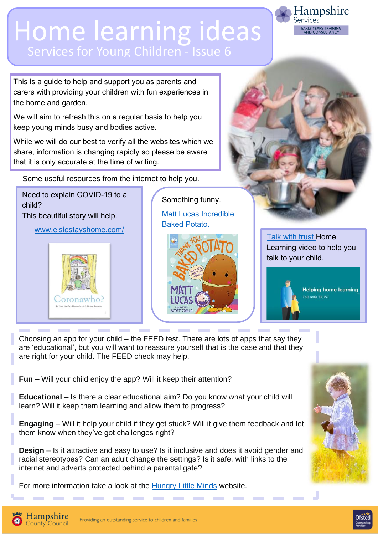## Home learning ideas Services for Young Children - Issue 6

This is a guide to help and support you as parents and carers with providing your children with fun experiences in the home and garden.

We will aim to refresh this on a regular basis to help you keep young minds busy and bodies active.

While we will do our best to verify all the websites which we share, information is changing rapidly so please be aware that it is only accurate at the time of writing.

Some useful resources from the internet to help you.

child? This beautiful story will help.

Need to explain COVID-19 to a

[www.elsiestayshome.com/](http://www.elsiestayshome.com/)



Something funny. [Matt Lucas Incredible](https://www.youtube.com/watch?v=esHFBny9--0) 

[Baked Potato.](https://www.youtube.com/watch?v=esHFBny9--0)

[Talk with trust](https://www.youtube.com/watch?v=wZ-4JPQRvHc&feature=youtu.be&mc_cid=88b6d406ff&mc_eid=0bbee54387-home) Home Learning video to help you talk to your child.

Hampshire

**RLY YEARS TRAINING** 

*<u>ervices</u>* 



Choosing an app for your child – the FEED test. There are lots of apps that say they are 'educational', but you will want to reassure yourself that is the case and that they are right for your child. The FEED check may help.

**Fun** – Will your child enjoy the app? Will it keep their attention?

**Educational** – Is there a clear educational aim? Do you know what your child will learn? Will it keep them learning and allow them to progress?

**Engaging** – Will it help your child if they get stuck? Will it give them feedback and let them know when they've got challenges right?

**Design** – Is it attractive and easy to use? Is it inclusive and does it avoid gender and racial stereotypes? Can an adult change the settings? Is it safe, with links to the internet and adverts protected behind a parental gate?

For more information take a look at the [Hungry Little Minds](https://hungrylittleminds.campaign.gov.uk/#information) website.





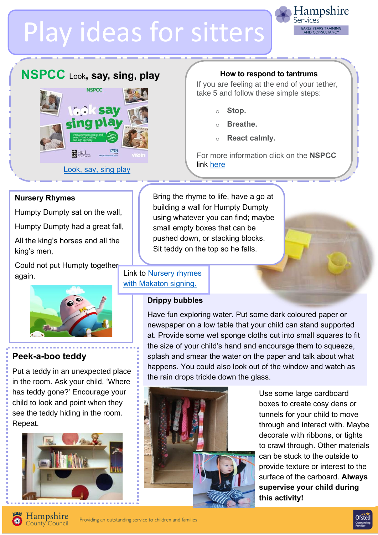# Play ideas for sitters



### **NSPCC** Look**, say, sing, play**



#### **How to respond to tantrums**

If you are feeling at the end of your tether, take 5 and follow these simple steps:

- o **Stop.**
- Breathe.
- o **React calmly.**

For more information click on the **NSPCC**

#### **Nursery Rhymes**

Humpty Dumpty sat on the wall,

[sing](https://www.nspcc.org.uk/keeping-children-safe/support-for-parents/look-say-sing-play/)

Humpty Dumpty had a great fall,

All the king's horses and all the king's men,

Could not put Humpty together again.



#### **Peek-a-boo teddy**

in the room. Ask your child, 'Where Put a teddy in an unexpected place has teddy gone?' Encourage your child to look and point when they see the teddy hiding in the room. Repeat.



Bring the rhyme to life, have a go at building a wall for Humpty Dumpty using whatever you can find; maybe small empty boxes that can be pushed down, or stacking blocks. Sit teddy on the top so he falls.

#### Link to [Nursery rhymes](https://www.bbc.co.uk/cbeebies/watch/playlist-something-special-nursery-rhymes?collection=mr-tumble-and-friends)  [with Makaton signing.](https://www.bbc.co.uk/cbeebies/watch/playlist-something-special-nursery-rhymes?collection=mr-tumble-and-friends)

#### **Drippy bubbles**

Have fun exploring water. Put some dark coloured paper or newspaper on a low table that your child can stand supported at. Provide some wet sponge cloths cut into small squares to fit the size of your child's hand and encourage them to squeeze, splash and smear the water on the paper and talk about what happens. You could also look out of the window and watch as the rain drops trickle down the glass.



Use some large cardboard boxes to create cosy dens or tunnels for your child to move through and interact with. Maybe decorate with ribbons, or tights to crawl through. Other materials can be stuck to the outside to provide texture or interest to the surface of the carboard. **Always supervise your child during this activity!**

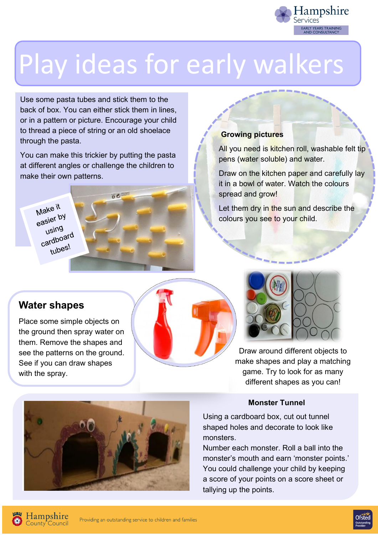

## Play ideas for early walkers

Use some pasta tubes and stick them to the back of box. You can either stick them in lines, or in a pattern or picture. Encourage your child to thread a piece of string or an old shoelace through the pasta.

You can make this trickier by putting the pasta at different angles or challenge the children to make their own patterns.

Make it Basier by using using<br>cardboard tubes!



#### **Growing pictures**

All you need is kitchen roll, washable felt tip pens (water soluble) and water.

Draw on the kitchen paper and carefully lay it in a bowl of water. Watch the colours spread and grow!

Let them dry in the sun and describe the colours you see to your child.

#### **Water shapes**

Place some simple objects on the ground then spray water on them. Remove the shapes and see the patterns on the ground. See if you can draw shapes with the spray.



Draw around different objects to make shapes and play a matching game. Try to look for as many different shapes as you can!

#### **Monster Tunnel**

Using a cardboard box, cut out tunnel shaped holes and decorate to look like monsters.

Number each monster. Roll a ball into the monster's mouth and earn 'monster points.' You could challenge your child by keeping a score of your points on a score sheet or tallying up the points.





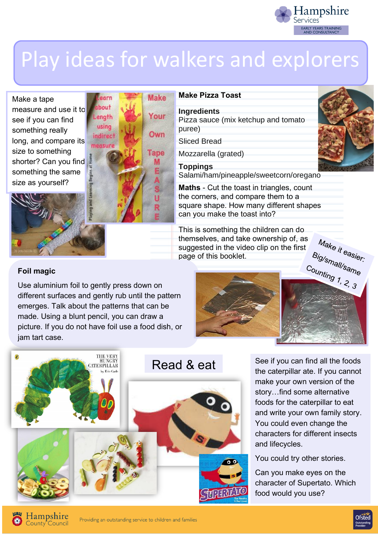

## Play ideas for walkers and explorers

Make a tape measure and use it t[o](https://lh5.googleusercontent.com/-wYY69CYAieI/UayGP61legI/AAAAAAAACLU/7xH82nKrnaI/s640/blogger-image-1363444534.jpg)  see if you can find something really long, and compare its size to something shorter? Can you find something the same size as yourself?



#### **Make Pizza Toast**

**Ingredients** Pizza sauce (mix ketchup and tomato puree)

Sliced Bread

Mozzarella (grated)

**Toppings** Salami/ham/pineapple/sweetcorn/oregano

**Maths** - Cut the toast in triangles, count the corners, and compare them to a [square shape. How many different shapes](https://www.google.co.uk/url?sa=i&url=https%3A%2F%2Fwww.tes.com%2Fteaching-resource%2Fblue-lined-paper-also-great-for-a-dyslexic-student-s-handwriting-12076890&psig=AOvVaw3psMBYaAxCtolxDxauqGc2&ust=1591465537526000&source=images&cd=vfe&ved=0CAIQjRxqFwoTCOihpaOd6-kCFQAAAAAdAAAAABAD)  can you make the toast into?

This is something the children can do themselves, and take ownership of, as suggested in the video clip on the first page of this booklet.



#### **Foil magic**

Use aluminium foil to gently press down on different surfaces and gently rub until the pattern emerges. Talk about the patterns that can be made. Using a blunt pencil, you can draw a picture. If you do not have foil use a food dish, or [jam tart case.](https://www.google.co.uk/url?sa=i&url=https%3A%2F%2Fwww.amazon.co.uk%2FVery-Hungry-Caterpillar-Board-Book%2Fdp%2F0241003008&psig=AOvVaw1k9cW20amSGKVSdrpAZsVC&ust=1591364891185000&source=images&cd=vfe&ved=0CAIQjRxqFwoTCLDJ-6mm6OkCFQAAAAAdAAAAABAE) 





See if you can find all the foods the caterpillar ate. If you cannot make your own version of the story…find some alternative foods for the caterpillar to eat and write your own family story. You could even change the characters for different insects and lifecycles.

You could try other stories.

Can you make eyes on the character of Supertato. Which food would you use?